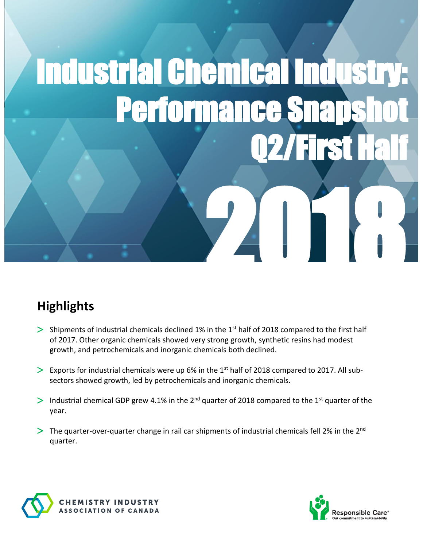# Industrial Chemical Industry: Performance Sna Q2/First 7411

## **Highlights**

- $>$  Shipments of industrial chemicals declined 1% in the 1st half of 2018 compared to the first half of 2017. Other organic chemicals showed very strong growth, synthetic resins had modest growth, and petrochemicals and inorganic chemicals both declined.
- $\geq$  Exports for industrial chemicals were up 6% in the 1<sup>st</sup> half of 2018 compared to 2017. All subsectors showed growth, led by petrochemicals and inorganic chemicals.
- > Industrial chemical GDP grew 4.1% in the 2<sup>nd</sup> quarter of 2018 compared to the 1<sup>st</sup> quarter of the year.
- $\geq$  The quarter-over-quarter change in rail car shipments of industrial chemicals fell 2% in the 2<sup>nd</sup> quarter.



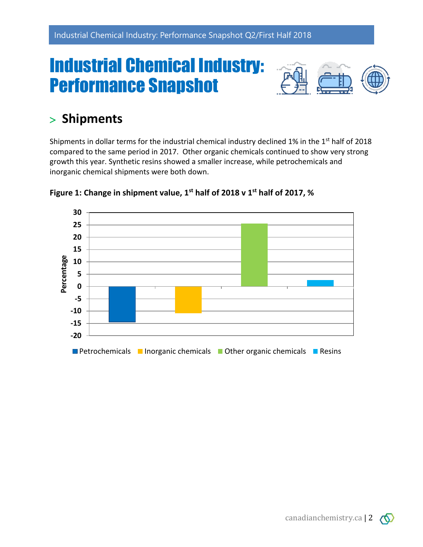## Industrial Chemical Industry: Performance Snapshot



### **Shipments**

Shipments in dollar terms for the industrial chemical industry declined 1% in the 1<sup>st</sup> half of 2018 compared to the same period in 2017. Other organic chemicals continued to show very strong growth this year. Synthetic resins showed a smaller increase, while petrochemicals and inorganic chemical shipments were both down.





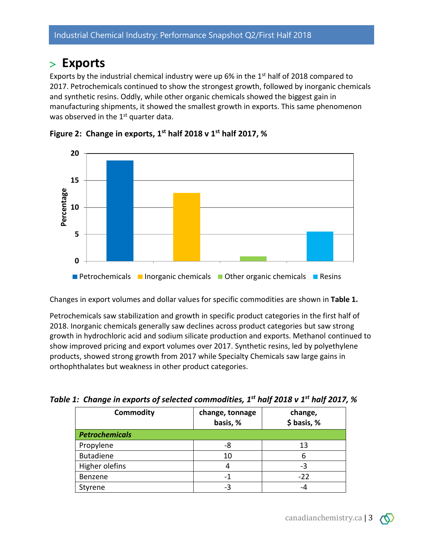#### **Exports**

Exports by the industrial chemical industry were up 6% in the  $1<sup>st</sup>$  half of 2018 compared to 2017. Petrochemicals continued to show the strongest growth, followed by inorganic chemicals and synthetic resins. Oddly, while other organic chemicals showed the biggest gain in manufacturing shipments, it showed the smallest growth in exports. This same phenomenon was observed in the 1<sup>st</sup> quarter data.





Changes in export volumes and dollar values for specific commodities are shown in **Table 1.**

Petrochemicals saw stabilization and growth in specific product categories in the first half of 2018. Inorganic chemicals generally saw declines across product categories but saw strong growth in hydrochloric acid and sodium silicate production and exports. Methanol continued to show improved pricing and export volumes over 2017. Synthetic resins, led by polyethylene products, showed strong growth from 2017 while Specialty Chemicals saw large gains in orthophthalates but weakness in other product categories.

| <b>Commodity</b>      | change, tonnage<br>basis, % | change,<br>\$ basis, % |
|-----------------------|-----------------------------|------------------------|
| <b>Petrochemicals</b> |                             |                        |
| Propylene             | -8                          | 13                     |
| <b>Butadiene</b>      | 10                          | 6                      |
| Higher olefins        |                             | -3                     |
| Benzene               |                             | $-22$                  |
| Styrene               | -3                          |                        |

*Table 1: Change in exports of selected commodities, 1 st half 2018 v 1 st half 2017, %*

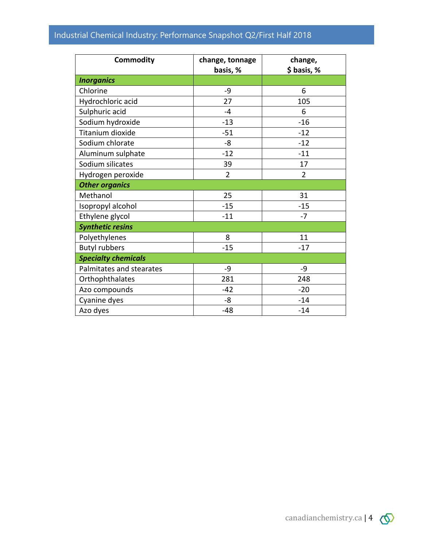#### Industrial Chemical Industry: Performance Snapshot Q2/First Half 2018

| <b>Commodity</b>           | change, tonnage<br>basis, % | change,<br>\$ basis, % |
|----------------------------|-----------------------------|------------------------|
| <b>Inorganics</b>          |                             |                        |
| Chlorine                   | -9                          | 6                      |
| Hydrochloric acid          | 27                          | 105                    |
| Sulphuric acid             | $-4$                        | 6                      |
| Sodium hydroxide           | $-13$                       | $-16$                  |
| Titanium dioxide           | $-51$                       | $-12$                  |
| Sodium chlorate            | -8                          | $-12$                  |
| Aluminum sulphate          | $-12$                       | $-11$                  |
| Sodium silicates           | 39                          | 17                     |
| Hydrogen peroxide          | $\overline{2}$              | $\overline{2}$         |
| <b>Other organics</b>      |                             |                        |
| Methanol                   | 25                          | 31                     |
| Isopropyl alcohol          | $-15$                       | $-15$                  |
| Ethylene glycol            | $-11$                       | $-7$                   |
| <b>Synthetic resins</b>    |                             |                        |
| Polyethylenes              | 8                           | 11                     |
| <b>Butyl rubbers</b>       | $-15$                       | $-17$                  |
| <b>Specialty chemicals</b> |                             |                        |
| Palmitates and stearates   | -9                          | $-9$                   |
| Orthophthalates            | 281                         | 248                    |
| Azo compounds              | $-42$                       | $-20$                  |
| Cyanine dyes               | -8                          | $-14$                  |
| Azo dyes                   | $-48$                       | $-14$                  |

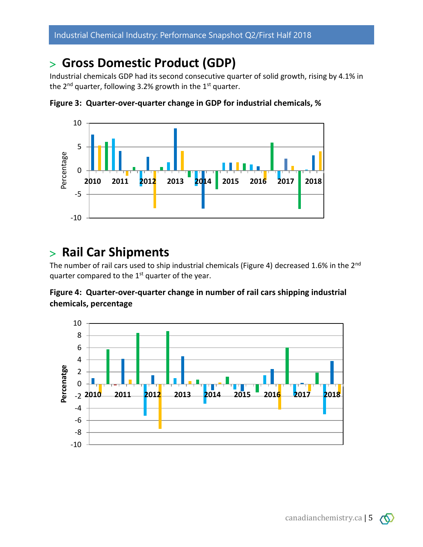#### **Gross Domestic Product (GDP)**

Industrial chemicals GDP had its second consecutive quarter of solid growth, rising by 4.1% in the  $2^{nd}$  quarter, following 3.2% growth in the  $1^{st}$  quarter.



**Figure 3: Quarter-over-quarter change in GDP for industrial chemicals, %**

#### **Rail Car Shipments**

The number of rail cars used to ship industrial chemicals (Figure 4) decreased 1.6% in the 2<sup>nd</sup> quarter compared to the  $1<sup>st</sup>$  quarter of the year.